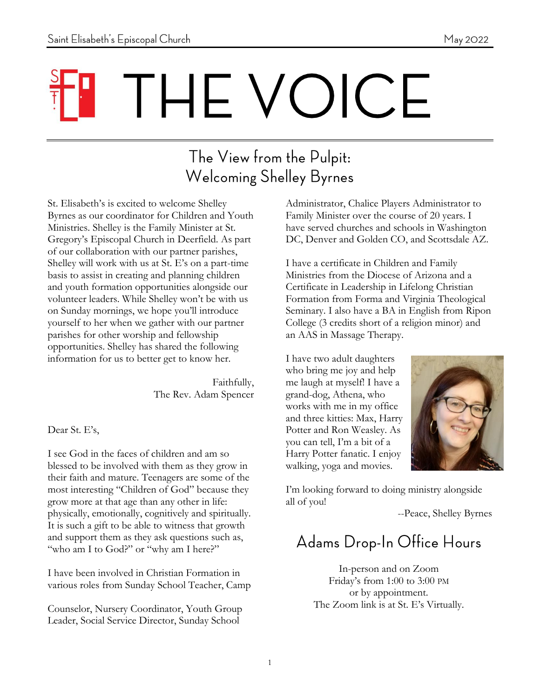# THE VOICE

#### The View from the Pulpit: **Welcoming Shelley Byrnes**

St. Elisabeth's is excited to welcome Shelley Byrnes as our coordinator for Children and Youth Ministries. Shelley is the Family Minister at St. Gregory's Episcopal Church in Deerfield. As part of our collaboration with our partner parishes, Shelley will work with us at St. E's on a part-time basis to assist in creating and planning children and youth formation opportunities alongside our volunteer leaders. While Shelley won't be with us on Sunday mornings, we hope you'll introduce yourself to her when we gather with our partner parishes for other worship and fellowship opportunities. Shelley has shared the following information for us to better get to know her.

> Faithfully, The Rev. Adam Spencer

Dear St. E's,

I see God in the faces of children and am so blessed to be involved with them as they grow in their faith and mature. Teenagers are some of the most interesting "Children of God" because they grow more at that age than any other in life: physically, emotionally, cognitively and spiritually. It is such a gift to be able to witness that growth and support them as they ask questions such as, "who am I to God?" or "why am I here?"

I have been involved in Christian Formation in various roles from Sunday School Teacher, Camp

Counselor, Nursery Coordinator, Youth Group Leader, Social Service Director, Sunday School

Administrator, Chalice Players Administrator to Family Minister over the course of 20 years. I have served churches and schools in Washington DC, Denver and Golden CO, and Scottsdale AZ.

I have a certificate in Children and Family Ministries from the Diocese of Arizona and a Certificate in Leadership in Lifelong Christian Formation from Forma and Virginia Theological Seminary. I also have a BA in English from Ripon College (3 credits short of a religion minor) and an AAS in Massage Therapy.

I have two adult daughters who bring me joy and help me laugh at myself! I have a grand-dog, Athena, who works with me in my office and three kitties: Max, Harry Potter and Ron Weasley. As you can tell, I'm a bit of a Harry Potter fanatic. I enjoy walking, yoga and movies.



I'm looking forward to doing ministry alongside all of you!

--Peace, Shelley Byrnes

#### Adams Drop-In Office Hours

In-person and on Zoom Friday's from 1:00 to 3:00 PM or by appointment. The Zoom link is at St. E's Virtually.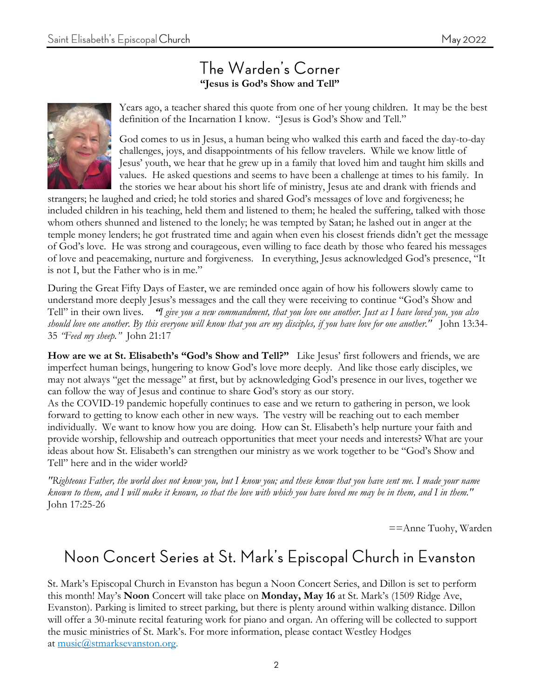#### The Warden's Corner **"Jesus is God's Show and Tell"**



Years ago, a teacher shared this quote from one of her young children. It may be the best definition of the Incarnation I know. "Jesus is God's Show and Tell."

God comes to us in Jesus, a human being who walked this earth and faced the day-to-day challenges, joys, and disappointments of his fellow travelers. While we know little of Jesus' youth, we hear that he grew up in a family that loved him and taught him skills and values. He asked questions and seems to have been a challenge at times to his family. In the stories we hear about his short life of ministry, Jesus ate and drank with friends and

strangers; he laughed and cried; he told stories and shared God's messages of love and forgiveness; he included children in his teaching, held them and listened to them; he healed the suffering, talked with those whom others shunned and listened to the lonely; he was tempted by Satan; he lashed out in anger at the temple money lenders; he got frustrated time and again when even his closest friends didn't get the message of God's love. He was strong and courageous, even willing to face death by those who feared his messages of love and peacemaking, nurture and forgiveness. In everything, Jesus acknowledged God's presence, "It is not I, but the Father who is in me."

During the Great Fifty Days of Easter, we are reminded once again of how his followers slowly came to understand more deeply Jesus's messages and the call they were receiving to continue "God's Show and Tell" in their own lives. **"***I give you a new commandment, that you love one another. Just as I have loved you, you also should love one another. By this everyone will know that you are my disciples, if you have love for one another."* John 13:34- 35 *"Feed my sheep."* John 21:17

**How are we at St. Elisabeth's "God's Show and Tell?"** Like Jesus' first followers and friends, we are imperfect human beings, hungering to know God's love more deeply. And like those early disciples, we may not always "get the message" at first, but by acknowledging God's presence in our lives, together we can follow the way of Jesus and continue to share God's story as our story.

As the COVID-19 pandemic hopefully continues to ease and we return to gathering in person, we look forward to getting to know each other in new ways. The vestry will be reaching out to each member individually. We want to know how you are doing. How can St. Elisabeth's help nurture your faith and provide worship, fellowship and outreach opportunities that meet your needs and interests? What are your ideas about how St. Elisabeth's can strengthen our ministry as we work together to be "God's Show and Tell" here and in the wider world?

*"Righteous Father, the world does not know you, but I know you; and these know that you have sent me. I made your name known to them, and I will make it known, so that the love with which you have loved me may be in them, and I in them."* John 17:25-26

==Anne Tuohy, Warden

#### Noon Concert Series at St. Mark's Episcopal Church in Evanston

St. Mark's Episcopal Church in Evanston has begun a Noon Concert Series, and Dillon is set to perform this month! May's **Noon** Concert will take place on **Monday, May 16** at St. Mark's (1509 Ridge Ave, Evanston). Parking is limited to street parking, but there is plenty around within walking distance. Dillon will offer a 30-minute recital featuring work for piano and organ. An offering will be collected to support the music ministries of St. Mark's. For more information, please contact Westley Hodges at [music@stmarksevanston.org.](mailto:music@stmarksevanston.org)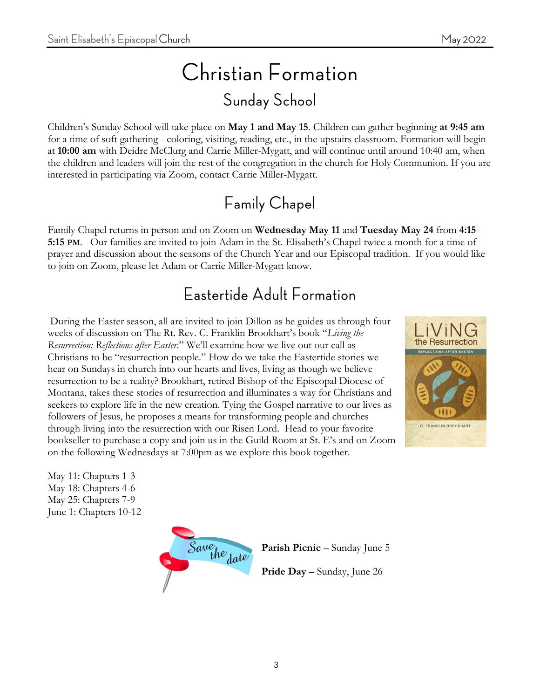# Christian Formation **Sunday School**

Children's Sunday School will take place on **May 1 and May 15**. Children can gather beginning **at 9:45 am** for a time of soft gathering - coloring, visiting, reading, etc., in the upstairs classroom. Formation will begin at **10:00 am** with Deidre McClurg and Carrie Miller-Mygatt, and will continue until around 10:40 am, when the children and leaders will join the rest of the congregation in the church for Holy Communion. If you are interested in participating via Zoom, contact Carrie Miller-Mygatt.

### **Family Chapel**

Family Chapel returns in person and on Zoom on **Wednesday May 11** and **Tuesday May 24** from **4:15**- **5:15 PM**. Our families are invited to join Adam in the St. Elisabeth's Chapel twice a month for a time of prayer and discussion about the seasons of the Church Year and our Episcopal tradition. If you would like to join on Zoom, please let Adam or Carrie Miller-Mygatt know.

#### Eastertide Adult Formation

During the Easter season, all are invited to join Dillon as he guides us through four weeks of discussion on The Rt. Rev. C. Franklin Brookhart's book "*Living the Resurrection: Reflections after Easter*." We'll examine how we live out our call as Christians to be "resurrection people." How do we take the Eastertide stories we hear on Sundays in church into our hearts and lives, living as though we believe resurrection to be a reality? Brookhart, retired Bishop of the Episcopal Diocese of Montana, takes these stories of resurrection and illuminates a way for Christians and seekers to explore life in the new creation. Tying the Gospel narrative to our lives as followers of Jesus, he proposes a means for transforming people and churches through living into the resurrection with our Risen Lord. Head to your favorite bookseller to purchase a copy and join us in the Guild Room at St. E's and on Zoom on the following Wednesdays at 7:00pm as we explore this book together.



May 11: Chapters 1-3 May 18: Chapters 4-6 May 25: Chapters 7-9 June 1: Chapters 10-12



**Parish Picnic** – Sunday June 5

**Pride Day** – Sunday, June 26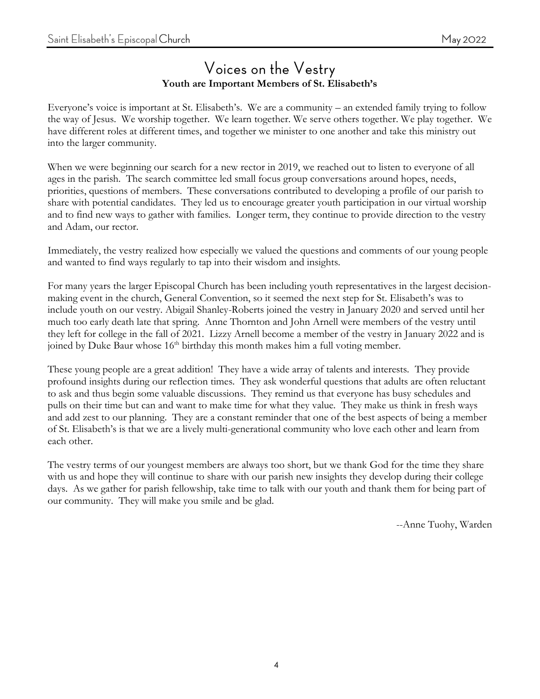#### Voices on the Vestry **Youth are Important Members of St. Elisabeth's**

Everyone's voice is important at St. Elisabeth's. We are a community – an extended family trying to follow the way of Jesus. We worship together. We learn together. We serve others together. We play together. We have different roles at different times, and together we minister to one another and take this ministry out into the larger community.

When we were beginning our search for a new rector in 2019, we reached out to listen to everyone of all ages in the parish. The search committee led small focus group conversations around hopes, needs, priorities, questions of members. These conversations contributed to developing a profile of our parish to share with potential candidates. They led us to encourage greater youth participation in our virtual worship and to find new ways to gather with families. Longer term, they continue to provide direction to the vestry and Adam, our rector.

Immediately, the vestry realized how especially we valued the questions and comments of our young people and wanted to find ways regularly to tap into their wisdom and insights.

For many years the larger Episcopal Church has been including youth representatives in the largest decisionmaking event in the church, General Convention, so it seemed the next step for St. Elisabeth's was to include youth on our vestry. Abigail Shanley-Roberts joined the vestry in January 2020 and served until her much too early death late that spring. Anne Thornton and John Arnell were members of the vestry until they left for college in the fall of 2021. Lizzy Arnell become a member of the vestry in January 2022 and is joined by Duke Baur whose  $16<sup>th</sup>$  birthday this month makes him a full voting member.

These young people are a great addition! They have a wide array of talents and interests. They provide profound insights during our reflection times. They ask wonderful questions that adults are often reluctant to ask and thus begin some valuable discussions. They remind us that everyone has busy schedules and pulls on their time but can and want to make time for what they value. They make us think in fresh ways and add zest to our planning. They are a constant reminder that one of the best aspects of being a member of St. Elisabeth's is that we are a lively multi-generational community who love each other and learn from each other.

The vestry terms of our youngest members are always too short, but we thank God for the time they share with us and hope they will continue to share with our parish new insights they develop during their college days. As we gather for parish fellowship, take time to talk with our youth and thank them for being part of our community. They will make you smile and be glad.

--Anne Tuohy, Warden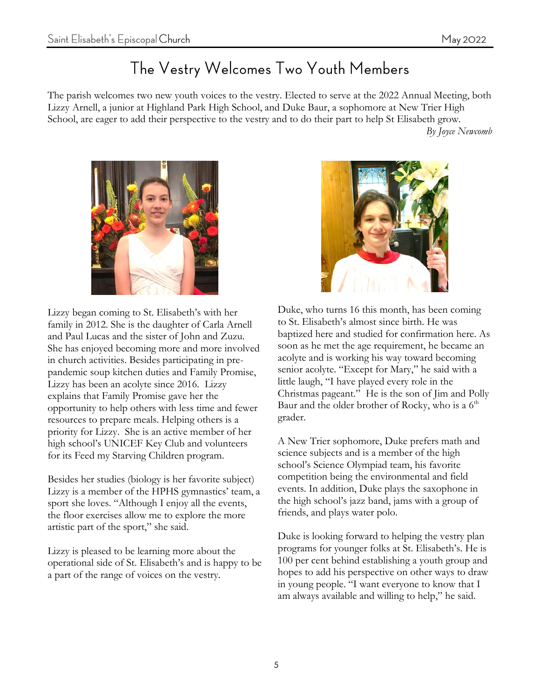#### The Vestry Welcomes Two Youth Members

The parish welcomes two new youth voices to the vestry. Elected to serve at the 2022 Annual Meeting, both Lizzy Arnell, a junior at Highland Park High School, and Duke Baur, a sophomore at New Trier High School, are eager to add their perspective to the vestry and to do their part to help St Elisabeth grow. *By Joyce Newcomb*



Lizzy began coming to St. Elisabeth's with her family in 2012. She is the daughter of Carla Arnell and Paul Lucas and the sister of John and Zuzu. She has enjoyed becoming more and more involved in church activities. Besides participating in prepandemic soup kitchen duties and Family Promise, Lizzy has been an acolyte since 2016. Lizzy explains that Family Promise gave her the opportunity to help others with less time and fewer resources to prepare meals. Helping others is a priority for Lizzy. She is an active member of her high school's UNICEF Key Club and volunteers for its Feed my Starving Children program.

Besides her studies (biology is her favorite subject) Lizzy is a member of the HPHS gymnastics' team, a sport she loves. "Although I enjoy all the events, the floor exercises allow me to explore the more artistic part of the sport," she said.

Lizzy is pleased to be learning more about the operational side of St. Elisabeth's and is happy to be a part of the range of voices on the vestry.



Duke, who turns 16 this month, has been coming to St. Elisabeth's almost since birth. He was baptized here and studied for confirmation here. As soon as he met the age requirement, he became an acolyte and is working his way toward becoming senior acolyte. "Except for Mary," he said with a little laugh, "I have played every role in the Christmas pageant." He is the son of Jim and Polly Baur and the older brother of Rocky, who is a  $6<sup>th</sup>$ grader.

A New Trier sophomore, Duke prefers math and science subjects and is a member of the high school's Science Olympiad team, his favorite competition being the environmental and field events. In addition, Duke plays the saxophone in the high school's jazz band, jams with a group of friends, and plays water polo.

Duke is looking forward to helping the vestry plan programs for younger folks at St. Elisabeth's. He is 100 per cent behind establishing a youth group and hopes to add his perspective on other ways to draw in young people. "I want everyone to know that I am always available and willing to help," he said.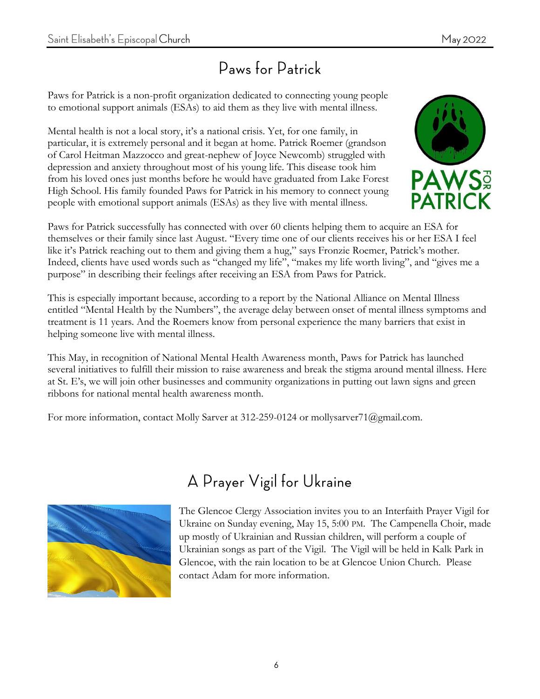#### Paws for Patrick

Paws for Patrick is a non-profit organization dedicated to connecting young people to emotional support animals (ESAs) to aid them as they live with mental illness.

Mental health is not a local story, it's a national crisis. Yet, for one family, in particular, it is extremely personal and it began at home. Patrick Roemer (grandson of Carol Heitman Mazzocco and great-nephew of Joyce Newcomb) struggled with depression and anxiety throughout most of his young life. This disease took him from his loved ones just months before he would have graduated from Lake Forest High School. His family founded Paws for Patrick in his memory to connect young people with emotional support animals (ESAs) as they live with mental illness.



Paws for Patrick successfully has connected with over 60 clients helping them to acquire an ESA for themselves or their family since last August. "Every time one of our clients receives his or her ESA I feel like it's Patrick reaching out to them and giving them a hug," says Fronzie Roemer, Patrick's mother. Indeed, clients have used words such as "changed my life", "makes my life worth living", and "gives me a purpose" in describing their feelings after receiving an ESA from Paws for Patrick.

This is especially important because, according to a report by the National Alliance on Mental Illness entitled "Mental Health by the Numbers", the average delay between onset of mental illness symptoms and treatment is 11 years. And the Roemers know from personal experience the many barriers that exist in helping someone live with mental illness.

This May, in recognition of National Mental Health Awareness month, Paws for Patrick has launched several initiatives to fulfill their mission to raise awareness and break the stigma around mental illness. Here at St. E's, we will join other businesses and community organizations in putting out lawn signs and green ribbons for national mental health awareness month.

For more information, contact Molly Sarver at 312-259-0124 or mollysarver71@gmail.com.



#### A Prayer Vigil for Ukraine

The Glencoe Clergy Association invites you to an Interfaith Prayer Vigil for Ukraine on Sunday evening, May 15, 5:00 PM. The Campenella Choir, made up mostly of Ukrainian and Russian children, will perform a couple of Ukrainian songs as part of the Vigil. The Vigil will be held in Kalk Park in Glencoe, with the rain location to be at Glencoe Union Church. Please contact Adam for more information.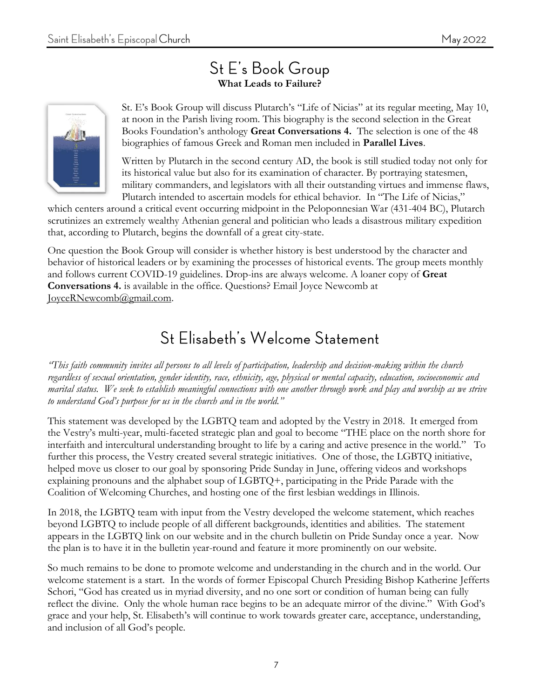# **What Leads to Failure?**



St. E's Book Group will discuss Plutarch's "Life of Nicias" at its regular meeting, May 10, at noon in the Parish living room. This biography is the second selection in the Great Books Foundation's anthology **Great Conversations 4.** The selection is one of the 48 biographies of famous Greek and Roman men included in **Parallel Lives**.

Written by Plutarch in the second century AD, the book is still studied today not only for its historical value but also for its examination of character. By portraying statesmen, military commanders, and legislators with all their outstanding virtues and immense flaws, Plutarch intended to ascertain models for ethical behavior. In "The Life of Nicias,"

which centers around a critical event occurring midpoint in the Peloponnesian War (431-404 BC), Plutarch scrutinizes an extremely wealthy Athenian general and politician who leads a disastrous military expedition that, according to Plutarch, begins the downfall of a great city-state.

One question the Book Group will consider is whether history is best understood by the character and behavior of historical leaders or by examining the processes of historical events. The group meets monthly and follows current COVID-19 guidelines. Drop-ins are always welcome. A loaner copy of **Great Conversations 4.** is available in the office. Questions? Email Joyce Newcomb at JoyceRNewcomb@gmail.com.

#### St Elisabeth's Welcome Statement

*"This faith community invites all persons to all levels of participation, leadership and decision-making within the church regardless of sexual orientation, gender identity, race, ethnicity, age, physical or mental capacity, education, socioeconomic and marital status. We seek to establish meaningful connections with one another through work and play and worship as we strive to understand God's purpose for us in the church and in the world."*

This statement was developed by the LGBTQ team and adopted by the Vestry in 2018. It emerged from the Vestry's multi-year, multi-faceted strategic plan and goal to become "THE place on the north shore for interfaith and intercultural understanding brought to life by a caring and active presence in the world." To further this process, the Vestry created several strategic initiatives. One of those, the LGBTQ initiative, helped move us closer to our goal by sponsoring Pride Sunday in June, offering videos and workshops explaining pronouns and the alphabet soup of LGBTQ+, participating in the Pride Parade with the Coalition of Welcoming Churches, and hosting one of the first lesbian weddings in Illinois.

In 2018, the LGBTQ team with input from the Vestry developed the welcome statement, which reaches beyond LGBTQ to include people of all different backgrounds, identities and abilities. The statement appears in the LGBTQ link on our website and in the church bulletin on Pride Sunday once a year. Now the plan is to have it in the bulletin year-round and feature it more prominently on our website.

So much remains to be done to promote welcome and understanding in the church and in the world. Our welcome statement is a start. In the words of former Episcopal Church Presiding Bishop Katherine Jefferts Schori, "God has created us in myriad diversity, and no one sort or condition of human being can fully reflect the divine. Only the whole human race begins to be an adequate mirror of the divine." With God's grace and your help, St. Elisabeth's will continue to work towards greater care, acceptance, understanding, and inclusion of all God's people.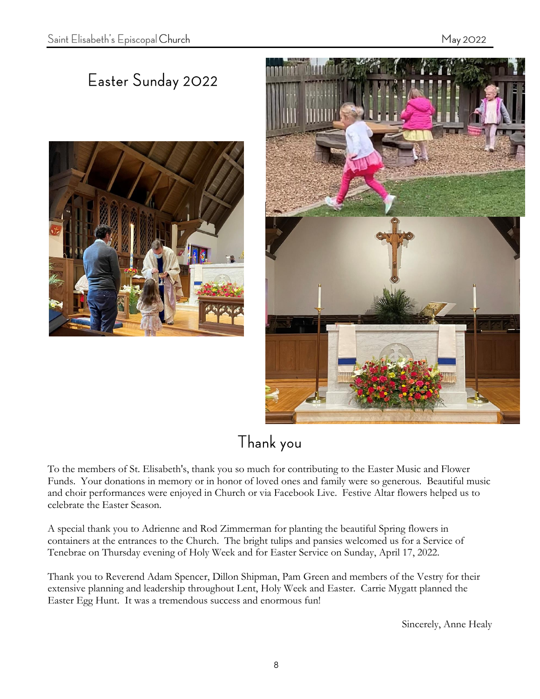### Easter Sunday 2022





## Thank you

To the members of St. Elisabeth's, thank you so much for contributing to the Easter Music and Flower Funds. Your donations in memory or in honor of loved ones and family were so generous. Beautiful music and choir performances were enjoyed in Church or via Facebook Live. Festive Altar flowers helped us to celebrate the Easter Season.

A special thank you to Adrienne and Rod Zimmerman for planting the beautiful Spring flowers in containers at the entrances to the Church. The bright tulips and pansies welcomed us for a Service of Tenebrae on Thursday evening of Holy Week and for Easter Service on Sunday, April 17, 2022.

Thank you to Reverend Adam Spencer, Dillon Shipman, Pam Green and members of the Vestry for their extensive planning and leadership throughout Lent, Holy Week and Easter. Carrie Mygatt planned the Easter Egg Hunt. It was a tremendous success and enormous fun!

Sincerely, Anne Healy